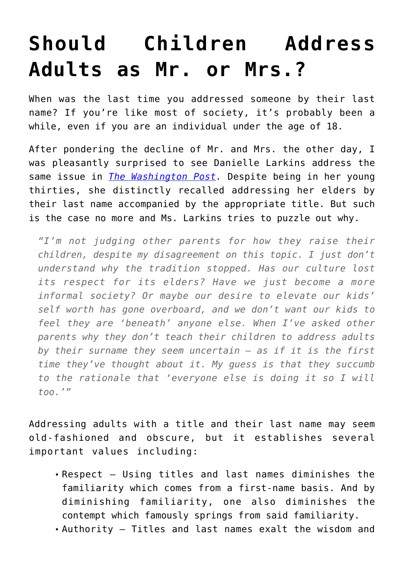## **[Should Children Address](https://intellectualtakeout.org/2015/09/should-children-address-adults-as-mr-or-mrs/) [Adults as Mr. or Mrs.?](https://intellectualtakeout.org/2015/09/should-children-address-adults-as-mr-or-mrs/)**

When was the last time you addressed someone by their last name? If you're like most of society, it's probably been a while, even if you are an individual under the age of 18.

After pondering the decline of Mr. and Mrs. the other day, I was pleasantly surprised to see Danielle Larkins address the same issue in *[The Washington Post](http://www.washingtonpost.com/news/parenting/wp/2015/09/18/what-happened-to-kids-addressing-adults-by-their-last-names/?tid=sm_fb).* Despite being in her young thirties, she distinctly recalled addressing her elders by their last name accompanied by the appropriate title. But such is the case no more and Ms. Larkins tries to puzzle out why.

*"I'm not judging other parents for how they raise their children, despite my disagreement on this topic. I just don't understand why the tradition stopped. Has our culture lost its respect for its elders? Have we just become a more informal society? Or maybe our desire to elevate our kids' self worth has gone overboard, and we don't want our kids to feel they are 'beneath' anyone else. When I've asked other parents why they don't teach their children to address adults by their surname they seem uncertain – as if it is the first time they've thought about it. My guess is that they succumb to the rationale that 'everyone else is doing it so I will too.'"*

Addressing adults with a title and their last name may seem old-fashioned and obscure, but it establishes several important values including:

- Respect Using titles and last names diminishes the familiarity which comes from a first-name basis. And by diminishing familiarity, one also diminishes the contempt which famously springs from said familiarity.
- Authority Titles and last names exalt the wisdom and